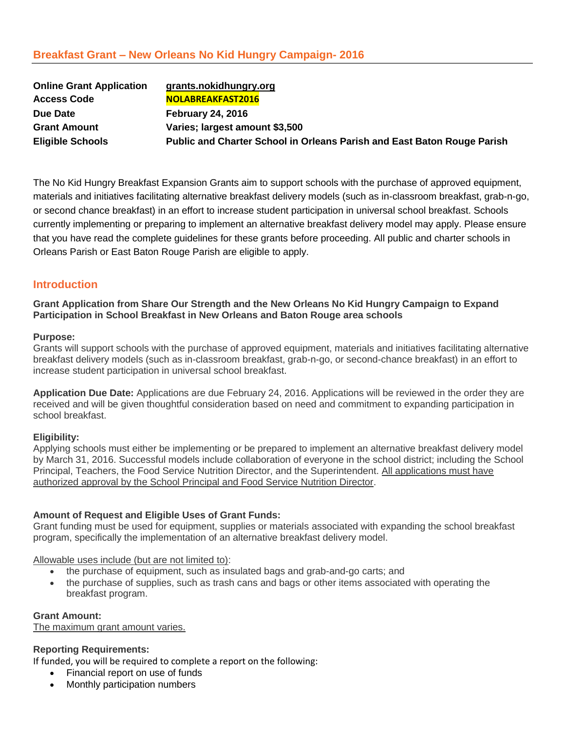| <b>Online Grant Application</b> | grants.nokidhungry.org                                                  |
|---------------------------------|-------------------------------------------------------------------------|
| <b>Access Code</b>              | NOLABREAKFAST2016                                                       |
| Due Date                        | <b>February 24, 2016</b>                                                |
| <b>Grant Amount</b>             | Varies; largest amount \$3,500                                          |
| <b>Eligible Schools</b>         | Public and Charter School in Orleans Parish and East Baton Rouge Parish |

The No Kid Hungry Breakfast Expansion Grants aim to support schools with the purchase of approved equipment, materials and initiatives facilitating alternative breakfast delivery models (such as in-classroom breakfast, grab-n-go, or second chance breakfast) in an effort to increase student participation in universal school breakfast. Schools currently implementing or preparing to implement an alternative breakfast delivery model may apply. Please ensure that you have read the complete guidelines for these grants before proceeding. All public and charter schools in Orleans Parish or East Baton Rouge Parish are eligible to apply.

# **Introduction**

**Grant Application from Share Our Strength and the New Orleans No Kid Hungry Campaign to Expand Participation in School Breakfast in New Orleans and Baton Rouge area schools**

## **Purpose:**

Grants will support schools with the purchase of approved equipment, materials and initiatives facilitating alternative breakfast delivery models (such as in-classroom breakfast, grab-n-go, or second-chance breakfast) in an effort to increase student participation in universal school breakfast.

**Application Due Date:** Applications are due February 24, 2016. Applications will be reviewed in the order they are received and will be given thoughtful consideration based on need and commitment to expanding participation in school breakfast.

## **Eligibility:**

Applying schools must either be implementing or be prepared to implement an alternative breakfast delivery model by March 31, 2016. Successful models include collaboration of everyone in the school district; including the School Principal, Teachers, the Food Service Nutrition Director, and the Superintendent. All applications must have authorized approval by the School Principal and Food Service Nutrition Director.

## **Amount of Request and Eligible Uses of Grant Funds:**

Grant funding must be used for equipment, supplies or materials associated with expanding the school breakfast program, specifically the implementation of an alternative breakfast delivery model.

Allowable uses include (but are not limited to):

- the purchase of equipment, such as insulated bags and grab-and-go carts; and
- the purchase of supplies, such as trash cans and bags or other items associated with operating the breakfast program.

**Grant Amount:** The maximum grant amount varies.

## **Reporting Requirements:**

If funded, you will be required to complete a report on the following:

- Financial report on use of funds
- Monthly participation numbers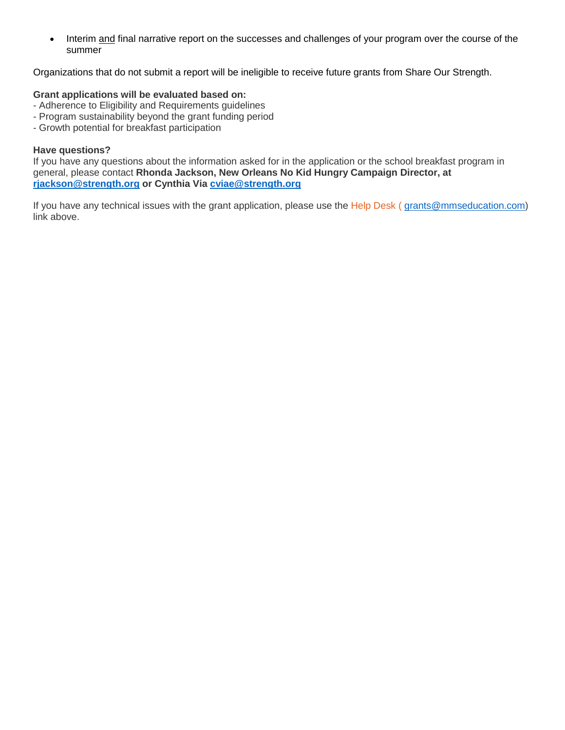• Interim and final narrative report on the successes and challenges of your program over the course of the summer

Organizations that do not submit a report will be ineligible to receive future grants from Share Our Strength.

# **Grant applications will be evaluated based on:**

- Adherence to Eligibility and Requirements guidelines
- Program sustainability beyond the grant funding period
- Growth potential for breakfast participation

# **Have questions?**

If you have any questions about the information asked for in the application or the school breakfast program in general, please contact **Rhonda Jackson, New Orleans No Kid Hungry Campaign Director, at [rjackson@strength.org](mailto:rjackson@strength.org) or Cynthia Via [cviae@strength.org](mailto:cviae@strength.org)**

If you have any technical issues with the grant application, please use the [Help Desk](mailto:grants@mmseducation.com?subject=Help%20Desk%20Inquiry%20-%20No%20Kid%20Hungry%20-%20Illinois%20Breakfast%20Grant%20Application) ([grants@mmseducation.com\)](mailto:grants@mmseducation.com) link above.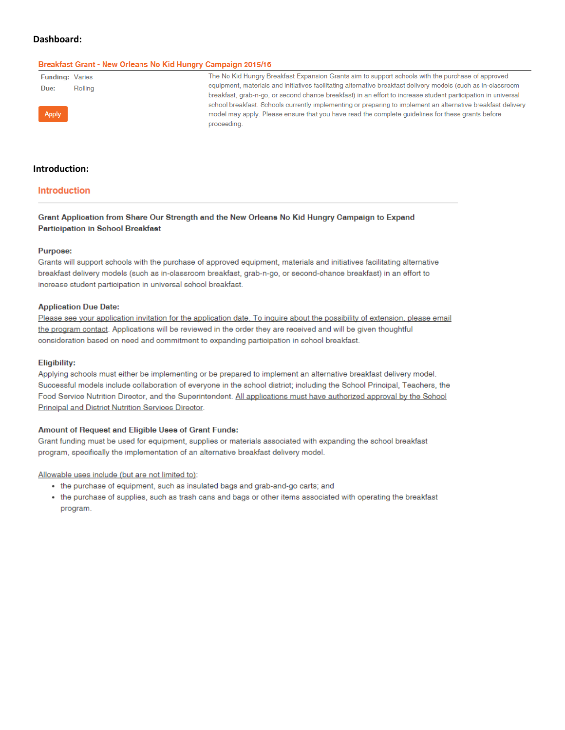## Dashboard:

#### Breakfast Grant - New Orleans No Kid Hungry Campaign 2015/16

| <b>Funding: Varies</b>                                                                                                |         | The No Kid Hungry Breakfast Expansion Grants aim to support schools with the purchase of approved             |
|-----------------------------------------------------------------------------------------------------------------------|---------|---------------------------------------------------------------------------------------------------------------|
| Due:                                                                                                                  | Rolling | equipment, materials and initiatives facilitating alternative breakfast delivery models (such as in-classroom |
|                                                                                                                       |         | breakfast, grab-n-go, or second chance breakfast) in an effort to increase student participation in universal |
| Apply                                                                                                                 |         | school breakfast. Schools currently implementing or preparing to implement an alternative breakfast delivery  |
|                                                                                                                       |         | model may apply. Please ensure that you have read the complete quidelines for these grants before             |
| <b>Contract Contract Contract Contract Contract Contract Contract Contract Contract Contract Contract Contract Co</b> |         | proceeding.                                                                                                   |

## Introduction:

## Introduction

Grant Application from Share Our Strength and the New Orleans No Kid Hungry Campaign to Expand Participation in School Breakfast

#### Purpose:

Grants will support schools with the purchase of approved equipment, materials and initiatives facilitating alternative breakfast delivery models (such as in-classroom breakfast, grab-n-go, or second-chance breakfast) in an effort to increase student participation in universal school breakfast.

### **Application Due Date:**

Please see your application invitation for the application date. To inquire about the possibility of extension, please email the program contact. Applications will be reviewed in the order they are received and will be given thoughtful consideration based on need and commitment to expanding participation in school breakfast.

#### **Eligibility:**

Applying schools must either be implementing or be prepared to implement an alternative breakfast delivery model. Successful models include collaboration of everyone in the school district; including the School Principal, Teachers, the Food Service Nutrition Director, and the Superintendent. All applications must have authorized approval by the School Principal and District Nutrition Services Director.

### Amount of Request and Eligible Uses of Grant Funds:

Grant funding must be used for equipment, supplies or materials associated with expanding the school breakfast program, specifically the implementation of an alternative breakfast delivery model.

Allowable uses include (but are not limited to):

- the purchase of equipment, such as insulated bags and grab-and-go carts; and
- the purchase of supplies, such as trash cans and bags or other items associated with operating the breakfast program.